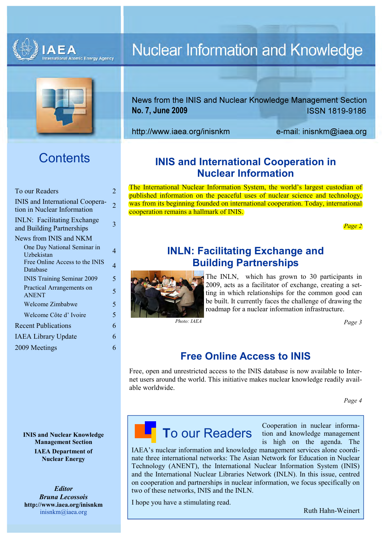



# **Contents**

| To our Readers                                                        | 2 |
|-----------------------------------------------------------------------|---|
| <b>INIS</b> and International Coopera-<br>tion in Nuclear Information | 2 |
| <b>INLN:</b> Facilitating Exchange<br>and Building Partnerships       | 3 |
| News from INIS and NKM                                                |   |
| One Day National Seminar in<br>Uzbekistan                             | 4 |
| Free Online Access to the INIS<br>Database                            | 4 |
| <b>INIS Training Seminar 2009</b>                                     | 5 |
| Practical Arrangements on<br><b>ANENT</b>                             | 5 |
| Welcome Zimbabwe                                                      | 5 |
| Welcome Côte d'Ivoire                                                 | 5 |
| <b>Recent Publications</b>                                            | 6 |
| <b>IAEA Library Update</b>                                            | 6 |
| 2009 Meetings                                                         | 6 |
|                                                                       |   |

INIS and Nuclear Knowledge Management Section IAEA Department of Nuclear Energy

Editor Bruna Lecossois http://www.iaea.org/inisnkm inisnkm@iaea.org

# **Nuclear Information and Knowledge**

News from the INIS and Nuclear Knowledge Management Section ISSN 1819-9186 No. 7, June 2009

http://www.iaea.org/inisnkm e-mail: inisnkm@iaea.org

# INIS and International Cooperation in Nuclear Information

The International Nuclear Information System, the world's largest custodian of published information on the peaceful uses of nuclear science and technology, was from its beginning founded on international cooperation. Today, international cooperation remains a hallmark of INIS.

Page 2

# INLN: Facilitating Exchange and Building Partnerships



The INLN, which has grown to 30 participants in 2009, acts as a facilitator of exchange, creating a setting in which relationships for the common good can be built. It currently faces the challenge of drawing the roadmap for a nuclear information infrastructure.

Photo: IAEA Page 3

# Free Online Access to INIS

Free, open and unrestricted access to the INIS database is now available to Internet users around the world. This initiative makes nuclear knowledge readily available worldwide.

Page 4

# To our Readers

Cooperation in nuclear information and knowledge management is high on the agenda. The

IAEA's nuclear information and knowledge management services alone coordinate three international networks: The Asian Network for Education in Nuclear Technology (ANENT), the International Nuclear Information System (INIS) and the International Nuclear Libraries Network (INLN). In this issue, centred on cooperation and partnerships in nuclear information, we focus specifically on two of these networks, INIS and the INLN.

I hope you have a stimulating read.

Ruth Hahn-Weinert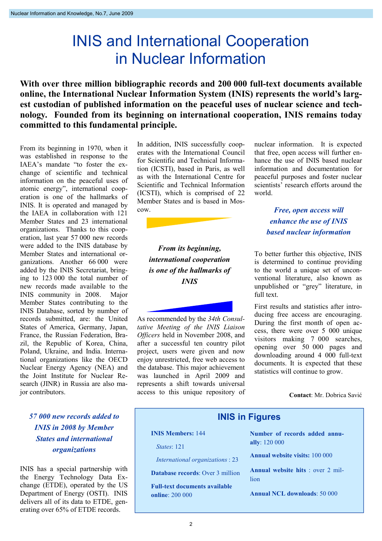# INIS and International Cooperation in Nuclear Information

With over three million bibliographic records and 200 000 full-text documents available online, the International Nuclear Information System (INIS) represents the world's largest custodian of published information on the peaceful uses of nuclear science and technology. Founded from its beginning on international cooperation, INIS remains today committed to this fundamental principle.

From its beginning in 1970, when it was established in response to the IAEA's mandate "to foster the exchange of scientific and technical information on the peaceful uses of atomic energy", international cooperation is one of the hallmarks of INIS. It is operated and managed by the IAEA in collaboration with 121 Member States and 23 international organizations. Thanks to this cooperation, last year 57 000 new records were added to the INIS database by Member States and international organizations. Another 66 000 were added by the INIS Secretariat, bringing to 123 000 the total number of new records made available to the INIS community in 2008. Major Member States contributing to the INIS Database, sorted by number of records submitted, are: the United States of America, Germany, Japan, France, the Russian Federation, Brazil, the Republic of Korea, China, Poland, Ukraine, and India. International organizations like the OECD Nuclear Energy Agency (NEA) and the Joint Institute for Nuclear Research (JINR) in Russia are also major contributors.

# 57 000 new records added to INIS in 2008 by Member States and international organizations

INIS has a special partnership with the Energy Technology Data Exchange (ETDE), operated by the US Department of Energy (OSTI). INIS delivers all of its data to ETDE, generating over 65% of ETDE records.

In addition, INIS successfully cooperates with the International Council for Scientific and Technical Information (ICSTI), based in Paris, as well as with the International Centre for Scientific and Technical Information (ICSTI), which is comprised of 22 Member States and is based in Moscow.

> From its beginning, international cooperation is one of the hallmarks of INIS

As recommended by the 34th Consultative Meeting of the INIS Liaison Officers held in November 2008, and after a successful ten country pilot project, users were given and now enjoy unrestricted, free web access to the database. This major achievement was launched in April 2009 and represents a shift towards universal access to this unique repository of nuclear information. It is expected that free, open access will further enhance the use of INIS based nuclear information and documentation for peaceful purposes and foster nuclear scientists' research efforts around the world.

Free, open access will enhance the use of INIS based nuclear information

To better further this objective, INIS is determined to continue providing to the world a unique set of unconventional literature, also known as unpublished or "grey" literature, in full text.

First results and statistics after introducing free access are encouraging. During the first month of open access, there were over 5 000 unique visitors making 7 000 searches, opening over 50 000 pages and downloading around 4 000 full-text documents. It is expected that these statistics will continue to grow.

Contact: Mr. Dobrica Savić

### INIS in Figures

#### INIS Members: 144

States: 121

International organizations : 23

Database records: Over 3 million

Full-text documents available online: 200 000

Number of records added annually: 120 000

Annual website visits: 100 000

Annual website hits : over 2 million

Annual NCL downloads: 50 000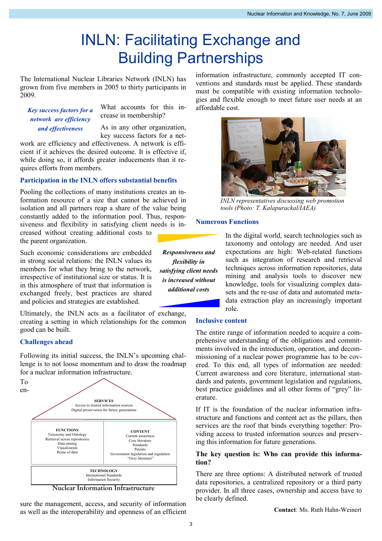# INLN: Facilitating Exchange and Building Partnerships

The International Nuclear Libraries Network (INLN) has grown from five members in 2005 to thirty participants in 2009.

Key success factors for a network are efficiency and effectiveness

What accounts for this increase in membership?

As in any other organization, key success factors for a net-

work are efficiency and effectiveness. A network is efficient if it achieves the desired outcome. It is effective if, while doing so, it affords greater inducements than it requires efforts from members.

#### Participation in the INLN offers substantial benefits

Pooling the collections of many institutions creates an information resource of a size that cannot be achieved in isolation and all partners reap a share of the value being constantly added to the information pool. Thus, responsiveness and flexibility in satisfying client needs is increased without creating additional costs to

the parent organization.

Such economic considerations are embedded in strong social relations: the INLN values its members for what they bring to the network, irrespective of institutional size or status. It is in this atmosphere of trust that information is exchanged freely, best practices are shared and policies and strategies are established.

Ultimately, the INLN acts as a facilitator of exchange, creating a setting in which relationships for the common good can be built.

#### Challenges ahead

Following its initial success, the INLN's upcoming challenge is to not loose momentum and to draw the roadmap for a nuclear information infrastructure.



Nuclear Information Infrastructure

sure the management, access, and security of information as well as the interoperability and openness of an efficient

information infrastructure, commonly accepted IT conventions and standards must be applied. These standards must be compatible with existing information technologies and flexible enough to meet future user needs at an affordable cost.



INLN representatives discussing web promotion tools (Photo: T. Kalapurackal/IAEA)

#### Numerous Functions

Responsiveness and flexibility in satisfying client needs is increased without additional costs

In the digital world, search technologies such as taxonomy and ontology are needed. And user expectations are high: Web-related functions such as integration of research and retrieval techniques across information repositories, data mining and analysis tools to discover new knowledge, tools for visualizing complex datasets and the re-use of data and automated metadata extraction play an increasingly important role.

#### Inclusive content

The entire range of information needed to acquire a comprehensive understanding of the obligations and commitments involved in the introduction, operation, and decommissioning of a nuclear power programme has to be covered. To this end, all types of information are needed: Current awareness and core literature, international standards and patents, government legislation and regulations, best practice guidelines and all other forms of "grey" literature.

If IT is the foundation of the nuclear information infrastructure and functions and content act as the pillars, then services are the roof that binds everything together: Providing access to trusted information sources and preserving this information for future generations.

#### The key question is: Who can provide this information?

There are three options: A distributed network of trusted data repositories, a centralized repository or a third party provider. In all three cases, ownership and access have to be clearly defined.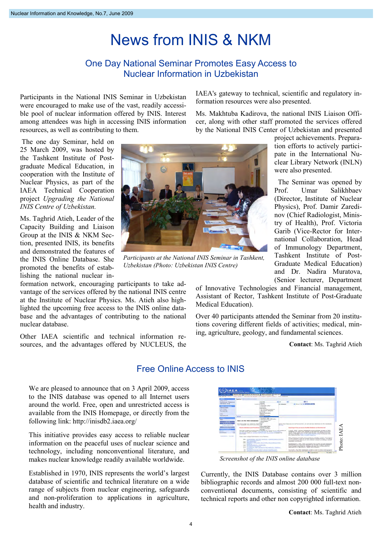# News from INIS & NKM

### One Day National Seminar Promotes Easy Access to Nuclear Information in Uzbekistan

Participants in the National INIS Seminar in Uzbekistan were encouraged to make use of the vast, readily accessible pool of nuclear information offered by INIS. Interest among attendees was high in accessing INIS information resources, as well as contributing to them.

 The one day Seminar, held on 25 March 2009, was hosted by the Tashkent Institute of Postgraduate Medical Education, in cooperation with the Institute of Nuclear Physics, as part of the IAEA Technical Cooperation project Upgrading the National INIS Centre of Uzbekistan.

Ms. Taghrid Atieh, Leader of the Capacity Building and Liaison Group at the INIS & NKM Section, presented INIS, its benefits and demonstrated the features of the INIS Online Database. She promoted the benefits of establishing the national nuclear in-

formation network, encouraging participants to take advantage of the services offered by the national INIS centre at the Institute of Nuclear Physics. Ms. Atieh also highlighted the upcoming free access to the INIS online database and the advantages of contributing to the national nuclear database.

Other IAEA scientific and technical information resources, and the advantages offered by NUCLEUS, the IAEA's gateway to technical, scientific and regulatory information resources were also presented.

Ms. Makhtuba Kadirova, the national INIS Liaison Officer, along with other staff promoted the services offered by the National INIS Center of Uzbekistan and presented

> project achievements. Preparation efforts to actively participate in the International Nuclear Library Network (INLN) were also presented.

 The Seminar was opened by Prof. Umar Salikhbaev (Director, Institute of Nuclear Physics), Prof. Damir Zaredinov (Chief Radiologist, Ministry of Health), Prof. Victoria Garib (Vice-Rector for International Collaboration, Head of Immunology Department, Tashkent Institute of Post-Graduate Medical Education) and Dr. Nadira Muratova, (Senior lecturer, Department

of Innovative Technologies and Financial management, Assistant of Rector, Tashkent Institute of Post-Graduate Medical Education).

Over 40 participants attended the Seminar from 20 institutions covering different fields of activities; medical, mining, agriculture, geology, and fundamental sciences.

Contact: Ms. Taghrid Atieh

### Free Online Access to INIS

We are pleased to announce that on 3 April 2009, access to the INIS database was opened to all Internet users around the world. Free, open and unrestricted access is available from the INIS Homepage, or directly from the following link: http://inisdb2.iaea.org/

This initiative provides easy access to reliable nuclear information on the peaceful uses of nuclear science and technology, including nonconventional literature, and makes nuclear knowledge readily available worldwide.

Established in 1970, INIS represents the world's largest database of scientific and technical literature on a wide range of subjects from nuclear engineering, safeguards and non-proliferation to applications in agriculture, health and industry.



Screenshot of the INIS online database

Currently, the INIS Database contains over 3 million bibliographic records and almost 200 000 full-text nonconventional documents, consisting of scientific and technical reports and other non copyrighted information.



Uzbekistan (Photo: Uzbekistan INIS Centre)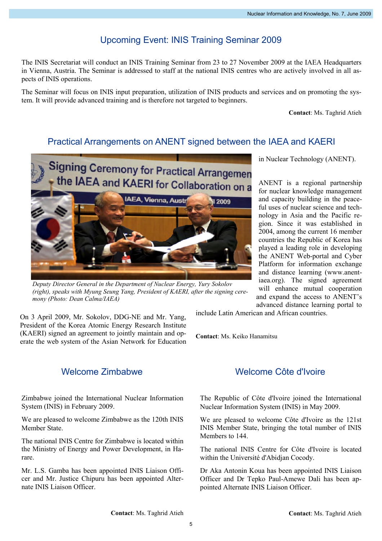# Upcoming Event: INIS Training Seminar 2009

The INIS Secretariat will conduct an INIS Training Seminar from 23 to 27 November 2009 at the IAEA Headquarters in Vienna, Austria. The Seminar is addressed to staff at the national INIS centres who are actively involved in all aspects of INIS operations.

The Seminar will focus on INIS input preparation, utilization of INIS products and services and on promoting the system. It will provide advanced training and is therefore not targeted to beginners.

Contact: Ms. Taghrid Atieh

## Practical Arrangements on ANENT signed between the IAEA and KAERI



Deputy Director General in the Department of Nuclear Energy, Yury Sokolov (right), speaks with Myung Seung Yang, President of KAERI, after the signing ceremony (Photo: Dean Calma/IAEA)

On 3 April 2009, Mr. Sokolov, DDG-NE and Mr. Yang, President of the Korea Atomic Energy Research Institute (KAERI) signed an agreement to jointly maintain and operate the web system of the Asian Network for Education in Nuclear Technology (ANENT).

ANENT is a regional partnership for nuclear knowledge management and capacity building in the peaceful uses of nuclear science and technology in Asia and the Pacific region. Since it was established in 2004, among the current 16 member countries the Republic of Korea has played a leading role in developing the ANENT Web-portal and Cyber Platform for information exchange and distance learning (www.anentiaea.org). The signed agreement will enhance mutual cooperation and expand the access to ANENT's advanced distance learning portal to

include Latin American and African countries.

Contact: Ms. Keiko Hanamitsu

### Welcome Zimbabwe

Zimbabwe joined the International Nuclear Information System (INIS) in February 2009.

We are pleased to welcome Zimbabwe as the 120th INIS Member State.

The national INIS Centre for Zimbabwe is located within the Ministry of Energy and Power Development, in Harare.

Mr. L.S. Gamba has been appointed INIS Liaison Officer and Mr. Justice Chipuru has been appointed Alternate INIS Liaison Officer.

### Welcome Côte d'Ivoire

The Republic of Côte d'Ivoire joined the International Nuclear Information System (INIS) in May 2009.

We are pleased to welcome Côte d'Ivoire as the 121st INIS Member State, bringing the total number of INIS Members to 144

The national INIS Centre for Côte d'Ivoire is located within the Université d'Abidjan Cocody.

Dr Aka Antonin Koua has been appointed INIS Liaison Officer and Dr Tepko Paul-Amewe Dali has been appointed Alternate INIS Liaison Officer.